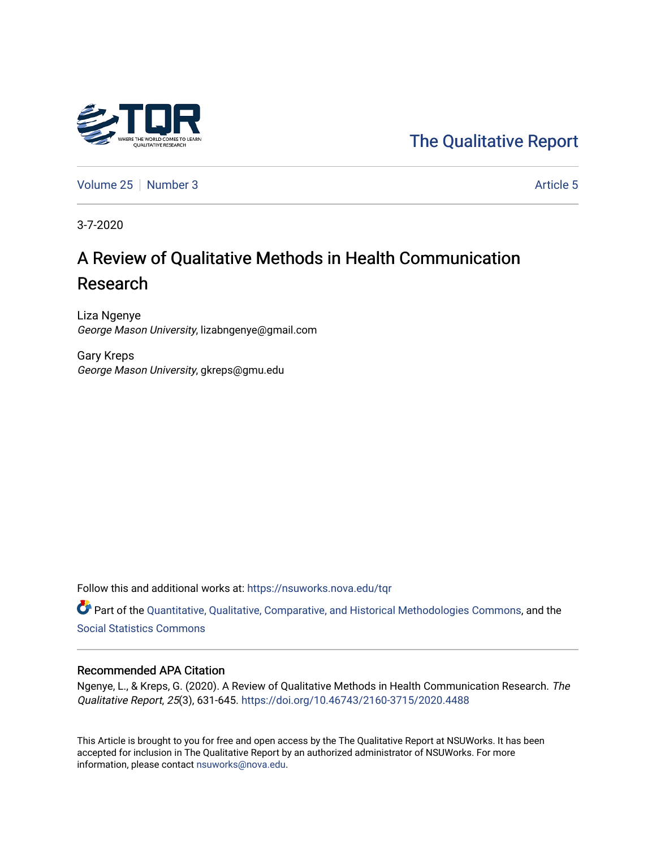

[The Qualitative Report](https://nsuworks.nova.edu/tqr) 

[Volume 25](https://nsuworks.nova.edu/tqr/vol25) [Number 3](https://nsuworks.nova.edu/tqr/vol25/iss3) [Article 5](https://nsuworks.nova.edu/tqr/vol25/iss3/5) Article 5

3-7-2020

# A Review of Qualitative Methods in Health Communication Research

Liza Ngenye George Mason University, lizabngenye@gmail.com

Gary Kreps George Mason University, gkreps@gmu.edu

Follow this and additional works at: [https://nsuworks.nova.edu/tqr](https://nsuworks.nova.edu/tqr?utm_source=nsuworks.nova.edu%2Ftqr%2Fvol25%2Fiss3%2F5&utm_medium=PDF&utm_campaign=PDFCoverPages) 

Part of the [Quantitative, Qualitative, Comparative, and Historical Methodologies Commons,](http://network.bepress.com/hgg/discipline/423?utm_source=nsuworks.nova.edu%2Ftqr%2Fvol25%2Fiss3%2F5&utm_medium=PDF&utm_campaign=PDFCoverPages) and the [Social Statistics Commons](http://network.bepress.com/hgg/discipline/1275?utm_source=nsuworks.nova.edu%2Ftqr%2Fvol25%2Fiss3%2F5&utm_medium=PDF&utm_campaign=PDFCoverPages) 

#### Recommended APA Citation

Ngenye, L., & Kreps, G. (2020). A Review of Qualitative Methods in Health Communication Research. The Qualitative Report, 25(3), 631-645.<https://doi.org/10.46743/2160-3715/2020.4488>

This Article is brought to you for free and open access by the The Qualitative Report at NSUWorks. It has been accepted for inclusion in The Qualitative Report by an authorized administrator of NSUWorks. For more information, please contact [nsuworks@nova.edu.](mailto:nsuworks@nova.edu)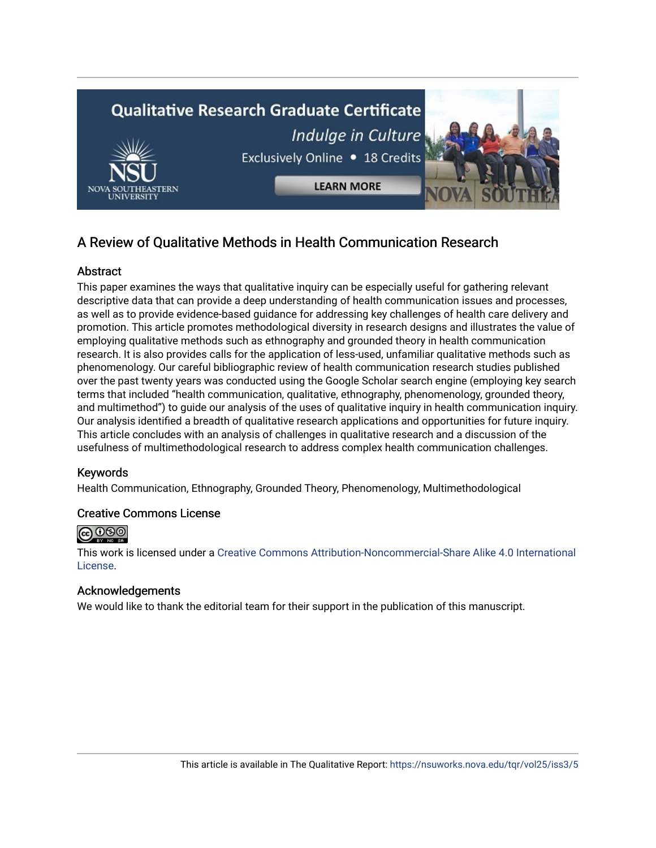

# A Review of Qualitative Methods in Health Communication Research

# **Abstract**

This paper examines the ways that qualitative inquiry can be especially useful for gathering relevant descriptive data that can provide a deep understanding of health communication issues and processes, as well as to provide evidence-based guidance for addressing key challenges of health care delivery and promotion. This article promotes methodological diversity in research designs and illustrates the value of employing qualitative methods such as ethnography and grounded theory in health communication research. It is also provides calls for the application of less-used, unfamiliar qualitative methods such as phenomenology. Our careful bibliographic review of health communication research studies published over the past twenty years was conducted using the Google Scholar search engine (employing key search terms that included "health communication, qualitative, ethnography, phenomenology, grounded theory, and multimethod") to guide our analysis of the uses of qualitative inquiry in health communication inquiry. Our analysis identified a breadth of qualitative research applications and opportunities for future inquiry. This article concludes with an analysis of challenges in qualitative research and a discussion of the usefulness of multimethodological research to address complex health communication challenges.

## Keywords

Health Communication, Ethnography, Grounded Theory, Phenomenology, Multimethodological

#### Creative Commons License



This work is licensed under a [Creative Commons Attribution-Noncommercial-Share Alike 4.0 International](https://creativecommons.org/licenses/by-nc-sa/4.0/)  [License](https://creativecommons.org/licenses/by-nc-sa/4.0/).

## Acknowledgements

We would like to thank the editorial team for their support in the publication of this manuscript.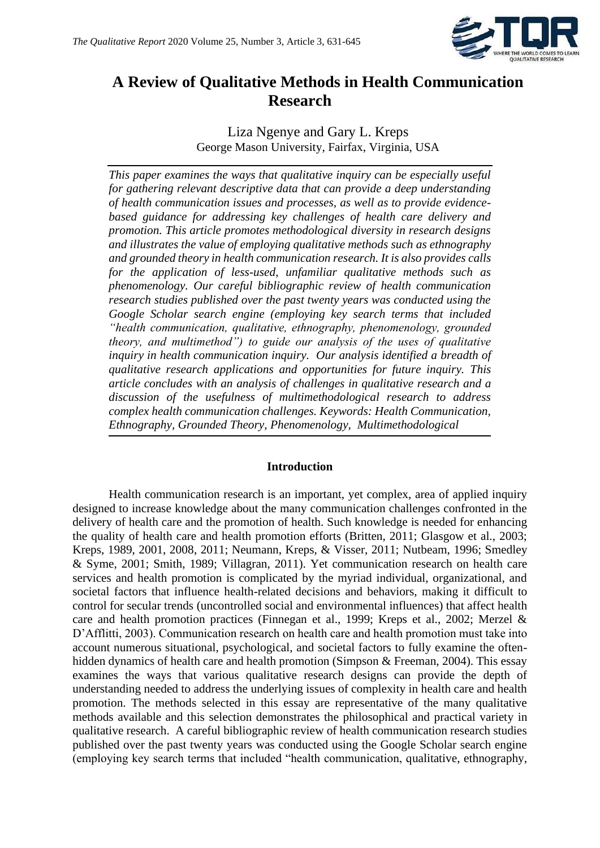

# **A Review of Qualitative Methods in Health Communication Research**

Liza Ngenye and Gary L. Kreps George Mason University, Fairfax, Virginia, USA

*This paper examines the ways that qualitative inquiry can be especially useful for gathering relevant descriptive data that can provide a deep understanding of health communication issues and processes, as well as to provide evidencebased guidance for addressing key challenges of health care delivery and promotion. This article promotes methodological diversity in research designs and illustrates the value of employing qualitative methods such as ethnography and grounded theory in health communication research. It is also provides calls for the application of less-used, unfamiliar qualitative methods such as phenomenology. Our careful bibliographic review of health communication research studies published over the past twenty years was conducted using the Google Scholar search engine (employing key search terms that included "health communication, qualitative, ethnography, phenomenology, grounded theory, and multimethod") to guide our analysis of the uses of qualitative inquiry in health communication inquiry. Our analysis identified a breadth of qualitative research applications and opportunities for future inquiry. This article concludes with an analysis of challenges in qualitative research and a discussion of the usefulness of multimethodological research to address complex health communication challenges. Keywords: Health Communication, Ethnography, Grounded Theory, Phenomenology, Multimethodological*

#### **Introduction**

Health communication research is an important, yet complex, area of applied inquiry designed to increase knowledge about the many communication challenges confronted in the delivery of health care and the promotion of health. Such knowledge is needed for enhancing the quality of health care and health promotion efforts (Britten, 2011; Glasgow et al., 2003; Kreps, 1989, 2001, 2008, 2011; Neumann, Kreps, & Visser, 2011; Nutbeam, 1996; Smedley & Syme, 2001; Smith, 1989; Villagran, 2011). Yet communication research on health care services and health promotion is complicated by the myriad individual, organizational, and societal factors that influence health-related decisions and behaviors, making it difficult to control for secular trends (uncontrolled social and environmental influences) that affect health care and health promotion practices (Finnegan et al., 1999; Kreps et al., 2002; Merzel & D'Afflitti, 2003). Communication research on health care and health promotion must take into account numerous situational, psychological, and societal factors to fully examine the oftenhidden dynamics of health care and health promotion (Simpson & Freeman, 2004). This essay examines the ways that various qualitative research designs can provide the depth of understanding needed to address the underlying issues of complexity in health care and health promotion. The methods selected in this essay are representative of the many qualitative methods available and this selection demonstrates the philosophical and practical variety in qualitative research. A careful bibliographic review of health communication research studies published over the past twenty years was conducted using the Google Scholar search engine (employing key search terms that included "health communication, qualitative, ethnography,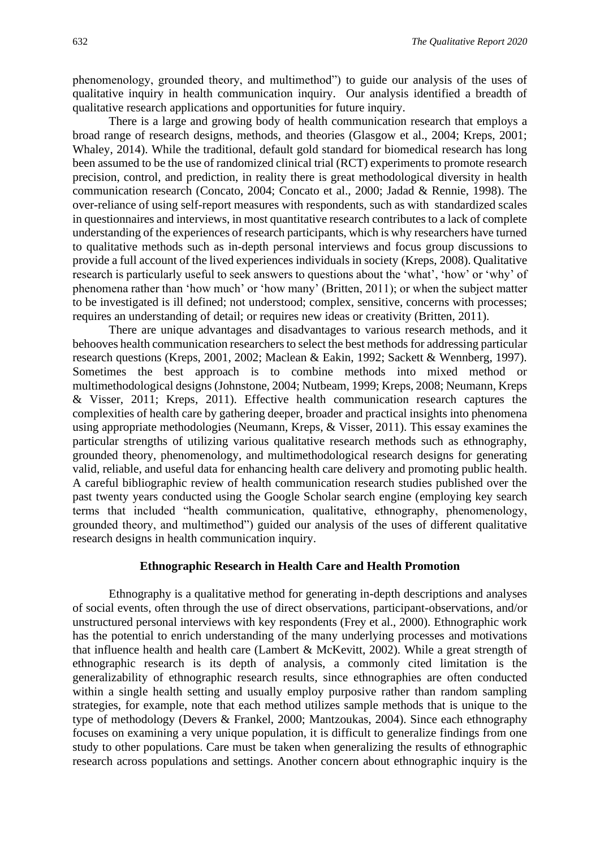phenomenology, grounded theory, and multimethod") to guide our analysis of the uses of qualitative inquiry in health communication inquiry. Our analysis identified a breadth of qualitative research applications and opportunities for future inquiry.

There is a large and growing body of health communication research that employs a broad range of research designs, methods, and theories (Glasgow et al., 2004; Kreps, 2001; Whaley, 2014). While the traditional, default gold standard for biomedical research has long been assumed to be the use of randomized clinical trial (RCT) experiments to promote research precision, control, and prediction, in reality there is great methodological diversity in health communication research (Concato, 2004; Concato et al., 2000; Jadad & Rennie, 1998). The over-reliance of using self-report measures with respondents, such as with standardized scales in questionnaires and interviews, in most quantitative research contributes to a lack of complete understanding of the experiences of research participants, which is why researchers have turned to qualitative methods such as in-depth personal interviews and focus group discussions to provide a full account of the lived experiences individuals in society (Kreps, 2008). Qualitative research is particularly useful to seek answers to questions about the 'what', 'how' or 'why' of phenomena rather than 'how much' or 'how many' (Britten, 2011); or when the subject matter to be investigated is ill defined; not understood; complex, sensitive, concerns with processes; requires an understanding of detail; or requires new ideas or creativity (Britten, 2011).

There are unique advantages and disadvantages to various research methods, and it behooves health communication researchers to select the best methods for addressing particular research questions (Kreps, 2001, 2002; Maclean & Eakin, 1992; Sackett & Wennberg, 1997). Sometimes the best approach is to combine methods into mixed method or multimethodological designs (Johnstone, 2004; Nutbeam, 1999; Kreps, 2008; Neumann, Kreps & Visser, 2011; Kreps, 2011). Effective health communication research captures the complexities of health care by gathering deeper, broader and practical insights into phenomena using appropriate methodologies (Neumann, Kreps, & Visser, 2011). This essay examines the particular strengths of utilizing various qualitative research methods such as ethnography, grounded theory, phenomenology, and multimethodological research designs for generating valid, reliable, and useful data for enhancing health care delivery and promoting public health. A careful bibliographic review of health communication research studies published over the past twenty years conducted using the Google Scholar search engine (employing key search terms that included "health communication, qualitative, ethnography, phenomenology, grounded theory, and multimethod") guided our analysis of the uses of different qualitative research designs in health communication inquiry.

#### **Ethnographic Research in Health Care and Health Promotion**

Ethnography is a qualitative method for generating in-depth descriptions and analyses of social events, often through the use of direct observations, participant-observations, and/or unstructured personal interviews with key respondents (Frey et al., 2000). Ethnographic work has the potential to enrich understanding of the many underlying processes and motivations that influence health and health care (Lambert & McKevitt, 2002). While a great strength of ethnographic research is its depth of analysis, a commonly cited limitation is the generalizability of ethnographic research results, since ethnographies are often conducted within a single health setting and usually employ purposive rather than random sampling strategies, for example, note that each method utilizes sample methods that is unique to the type of methodology (Devers & Frankel, 2000; Mantzoukas, 2004). Since each ethnography focuses on examining a very unique population, it is difficult to generalize findings from one study to other populations. Care must be taken when generalizing the results of ethnographic research across populations and settings. Another concern about ethnographic inquiry is the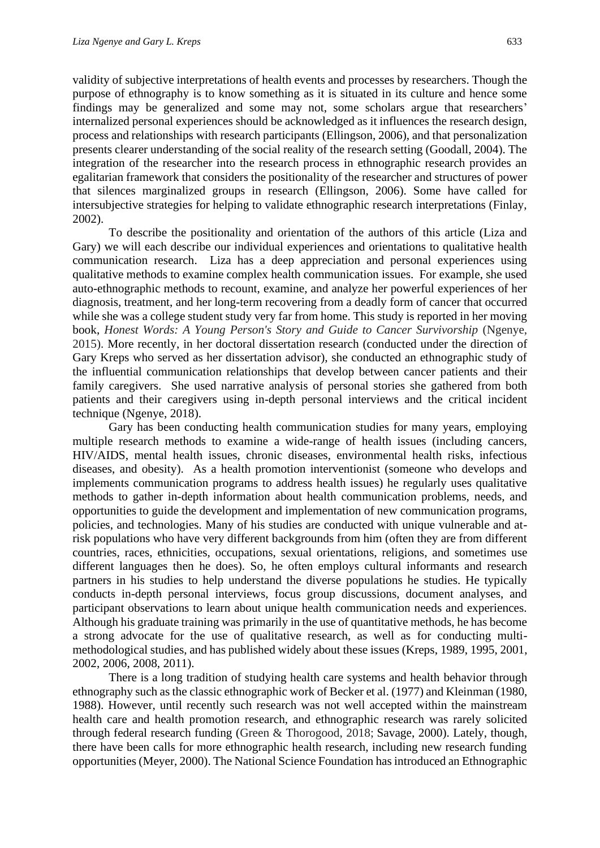validity of subjective interpretations of health events and processes by researchers. Though the purpose of ethnography is to know something as it is situated in its culture and hence some findings may be generalized and some may not, some scholars argue that researchers' internalized personal experiences should be acknowledged as it influences the research design, process and relationships with research participants (Ellingson, 2006), and that personalization presents clearer understanding of the social reality of the research setting (Goodall, 2004). The integration of the researcher into the research process in ethnographic research provides an egalitarian framework that considers the positionality of the researcher and structures of power that silences marginalized groups in research (Ellingson, 2006). Some have called for intersubjective strategies for helping to validate ethnographic research interpretations (Finlay, 2002).

To describe the positionality and orientation of the authors of this article (Liza and Gary) we will each describe our individual experiences and orientations to qualitative health communication research. Liza has a deep appreciation and personal experiences using qualitative methods to examine complex health communication issues. For example, she used auto-ethnographic methods to recount, examine, and analyze her powerful experiences of her diagnosis, treatment, and her long-term recovering from a deadly form of cancer that occurred while she was a college student study very far from home. This study is reported in her moving book, *Honest Words: A Young Person's Story and Guide to Cancer Survivorship* (Ngenye, 2015). More recently, in her doctoral dissertation research (conducted under the direction of Gary Kreps who served as her dissertation advisor), she conducted an ethnographic study of the influential communication relationships that develop between cancer patients and their family caregivers. She used narrative analysis of personal stories she gathered from both patients and their caregivers using in-depth personal interviews and the critical incident technique (Ngenye, 2018).

Gary has been conducting health communication studies for many years, employing multiple research methods to examine a wide-range of health issues (including cancers, HIV/AIDS, mental health issues, chronic diseases, environmental health risks, infectious diseases, and obesity). As a health promotion interventionist (someone who develops and implements communication programs to address health issues) he regularly uses qualitative methods to gather in-depth information about health communication problems, needs, and opportunities to guide the development and implementation of new communication programs, policies, and technologies. Many of his studies are conducted with unique vulnerable and atrisk populations who have very different backgrounds from him (often they are from different countries, races, ethnicities, occupations, sexual orientations, religions, and sometimes use different languages then he does). So, he often employs cultural informants and research partners in his studies to help understand the diverse populations he studies. He typically conducts in-depth personal interviews, focus group discussions, document analyses, and participant observations to learn about unique health communication needs and experiences. Although his graduate training was primarily in the use of quantitative methods, he has become a strong advocate for the use of qualitative research, as well as for conducting multimethodological studies, and has published widely about these issues (Kreps, 1989, 1995, 2001, 2002, 2006, 2008, 2011).

There is a long tradition of studying health care systems and health behavior through ethnography such as the classic ethnographic work of Becker et al. (1977) and Kleinman (1980, 1988). However, until recently such research was not well accepted within the mainstream health care and health promotion research, and ethnographic research was rarely solicited through federal research funding (Green & Thorogood, 2018; Savage, 2000). Lately, though, there have been calls for more ethnographic health research, including new research funding opportunities (Meyer, 2000). The National Science Foundation has introduced an Ethnographic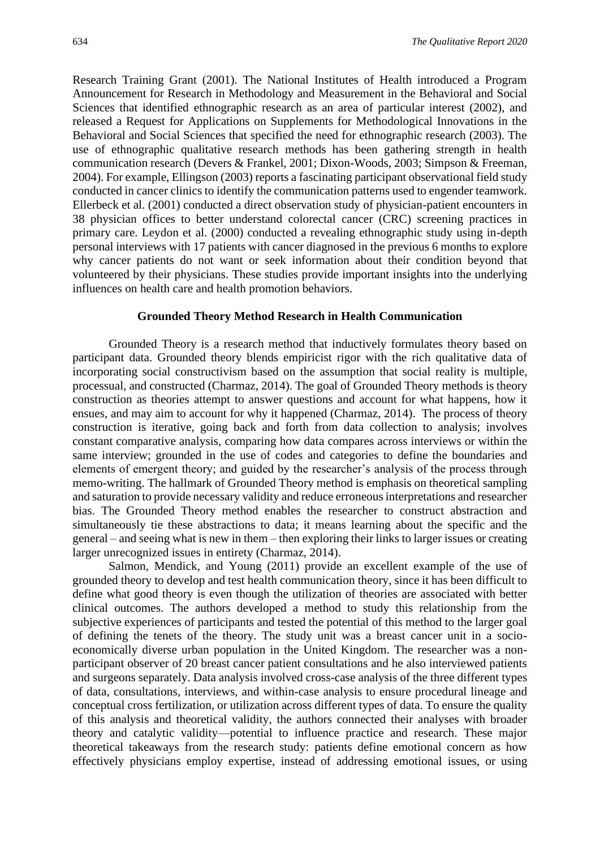Research Training Grant (2001). The National Institutes of Health introduced a Program Announcement for Research in Methodology and Measurement in the Behavioral and Social Sciences that identified ethnographic research as an area of particular interest (2002), and released a Request for Applications on Supplements for Methodological Innovations in the Behavioral and Social Sciences that specified the need for ethnographic research (2003). The use of ethnographic qualitative research methods has been gathering strength in health communication research (Devers & Frankel, 2001; Dixon-Woods, 2003; Simpson & Freeman, 2004). For example, Ellingson (2003) reports a fascinating participant observational field study conducted in cancer clinics to identify the communication patterns used to engender teamwork. Ellerbeck et al. (2001) conducted a direct observation study of physician-patient encounters in 38 physician offices to better understand colorectal cancer (CRC) screening practices in primary care. Leydon et al. (2000) conducted a revealing ethnographic study using in-depth personal interviews with 17 patients with cancer diagnosed in the previous 6 months to explore why cancer patients do not want or seek information about their condition beyond that volunteered by their physicians. These studies provide important insights into the underlying influences on health care and health promotion behaviors.

#### **Grounded Theory Method Research in Health Communication**

Grounded Theory is a research method that inductively formulates theory based on participant data. Grounded theory blends empiricist rigor with the rich qualitative data of incorporating social constructivism based on the assumption that social reality is multiple, processual, and constructed (Charmaz, 2014). The goal of Grounded Theory methods is theory construction as theories attempt to answer questions and account for what happens, how it ensues, and may aim to account for why it happened (Charmaz, 2014). The process of theory construction is iterative, going back and forth from data collection to analysis; involves constant comparative analysis, comparing how data compares across interviews or within the same interview; grounded in the use of codes and categories to define the boundaries and elements of emergent theory; and guided by the researcher's analysis of the process through memo-writing. The hallmark of Grounded Theory method is emphasis on theoretical sampling and saturation to provide necessary validity and reduce erroneous interpretations and researcher bias. The Grounded Theory method enables the researcher to construct abstraction and simultaneously tie these abstractions to data; it means learning about the specific and the general – and seeing what is new in them – then exploring their links to larger issues or creating larger unrecognized issues in entirety (Charmaz, 2014).

Salmon, Mendick, and Young (2011) provide an excellent example of the use of grounded theory to develop and test health communication theory, since it has been difficult to define what good theory is even though the utilization of theories are associated with better clinical outcomes. The authors developed a method to study this relationship from the subjective experiences of participants and tested the potential of this method to the larger goal of defining the tenets of the theory. The study unit was a breast cancer unit in a socioeconomically diverse urban population in the United Kingdom. The researcher was a nonparticipant observer of 20 breast cancer patient consultations and he also interviewed patients and surgeons separately. Data analysis involved cross-case analysis of the three different types of data, consultations, interviews, and within-case analysis to ensure procedural lineage and conceptual cross fertilization, or utilization across different types of data. To ensure the quality of this analysis and theoretical validity, the authors connected their analyses with broader theory and catalytic validity—potential to influence practice and research. These major theoretical takeaways from the research study: patients define emotional concern as how effectively physicians employ expertise, instead of addressing emotional issues, or using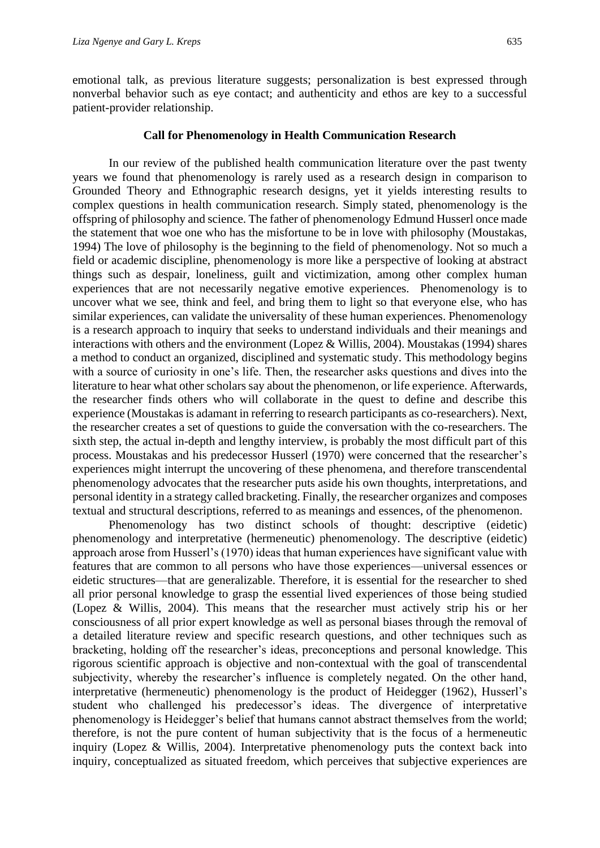emotional talk, as previous literature suggests; personalization is best expressed through nonverbal behavior such as eye contact; and authenticity and ethos are key to a successful patient-provider relationship.

#### **Call for Phenomenology in Health Communication Research**

In our review of the published health communication literature over the past twenty years we found that phenomenology is rarely used as a research design in comparison to Grounded Theory and Ethnographic research designs, yet it yields interesting results to complex questions in health communication research. Simply stated, phenomenology is the offspring of philosophy and science. The father of phenomenology Edmund Husserl once made the statement that woe one who has the misfortune to be in love with philosophy (Moustakas, 1994) The love of philosophy is the beginning to the field of phenomenology. Not so much a field or academic discipline, phenomenology is more like a perspective of looking at abstract things such as despair, loneliness, guilt and victimization, among other complex human experiences that are not necessarily negative emotive experiences. Phenomenology is to uncover what we see, think and feel, and bring them to light so that everyone else, who has similar experiences, can validate the universality of these human experiences. Phenomenology is a research approach to inquiry that seeks to understand individuals and their meanings and interactions with others and the environment (Lopez & Willis, 2004). Moustakas (1994) shares a method to conduct an organized, disciplined and systematic study. This methodology begins with a source of curiosity in one's life. Then, the researcher asks questions and dives into the literature to hear what other scholars say about the phenomenon, or life experience. Afterwards, the researcher finds others who will collaborate in the quest to define and describe this experience (Moustakas is adamant in referring to research participants as co-researchers). Next, the researcher creates a set of questions to guide the conversation with the co-researchers. The sixth step, the actual in-depth and lengthy interview, is probably the most difficult part of this process. Moustakas and his predecessor Husserl (1970) were concerned that the researcher's experiences might interrupt the uncovering of these phenomena, and therefore transcendental phenomenology advocates that the researcher puts aside his own thoughts, interpretations, and personal identity in a strategy called bracketing. Finally, the researcher organizes and composes textual and structural descriptions, referred to as meanings and essences, of the phenomenon.

Phenomenology has two distinct schools of thought: descriptive (eidetic) phenomenology and interpretative (hermeneutic) phenomenology. The descriptive (eidetic) approach arose from Husserl's (1970) ideas that human experiences have significant value with features that are common to all persons who have those experiences—universal essences or eidetic structures—that are generalizable. Therefore, it is essential for the researcher to shed all prior personal knowledge to grasp the essential lived experiences of those being studied (Lopez & Willis, 2004). This means that the researcher must actively strip his or her consciousness of all prior expert knowledge as well as personal biases through the removal of a detailed literature review and specific research questions, and other techniques such as bracketing, holding off the researcher's ideas, preconceptions and personal knowledge. This rigorous scientific approach is objective and non-contextual with the goal of transcendental subjectivity, whereby the researcher's influence is completely negated. On the other hand, interpretative (hermeneutic) phenomenology is the product of Heidegger (1962), Husserl's student who challenged his predecessor's ideas. The divergence of interpretative phenomenology is Heidegger's belief that humans cannot abstract themselves from the world; therefore, is not the pure content of human subjectivity that is the focus of a hermeneutic inquiry (Lopez & Willis, 2004). Interpretative phenomenology puts the context back into inquiry, conceptualized as situated freedom, which perceives that subjective experiences are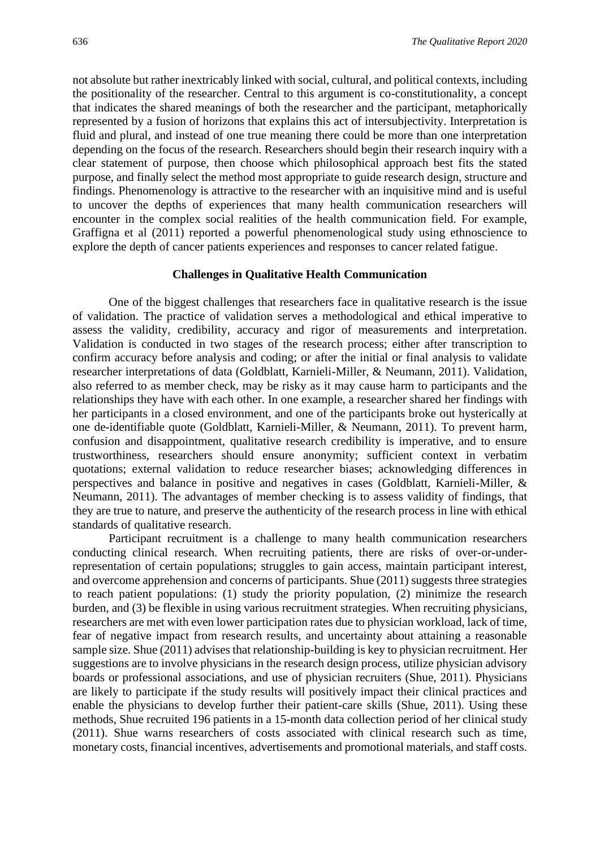not absolute but rather inextricably linked with social, cultural, and political contexts, including the positionality of the researcher. Central to this argument is co-constitutionality, a concept that indicates the shared meanings of both the researcher and the participant, metaphorically represented by a fusion of horizons that explains this act of intersubjectivity. Interpretation is fluid and plural, and instead of one true meaning there could be more than one interpretation depending on the focus of the research. Researchers should begin their research inquiry with a clear statement of purpose, then choose which philosophical approach best fits the stated purpose, and finally select the method most appropriate to guide research design, structure and findings. Phenomenology is attractive to the researcher with an inquisitive mind and is useful to uncover the depths of experiences that many health communication researchers will encounter in the complex social realities of the health communication field. For example, Graffigna et al (2011) reported a powerful phenomenological study using ethnoscience to explore the depth of cancer patients experiences and responses to cancer related fatigue.

#### **Challenges in Qualitative Health Communication**

One of the biggest challenges that researchers face in qualitative research is the issue of validation. The practice of validation serves a methodological and ethical imperative to assess the validity, credibility, accuracy and rigor of measurements and interpretation. Validation is conducted in two stages of the research process; either after transcription to confirm accuracy before analysis and coding; or after the initial or final analysis to validate researcher interpretations of data (Goldblatt, Karnieli-Miller, & Neumann, 2011). Validation, also referred to as member check, may be risky as it may cause harm to participants and the relationships they have with each other. In one example, a researcher shared her findings with her participants in a closed environment, and one of the participants broke out hysterically at one de-identifiable quote (Goldblatt, Karnieli-Miller, & Neumann, 2011). To prevent harm, confusion and disappointment, qualitative research credibility is imperative, and to ensure trustworthiness, researchers should ensure anonymity; sufficient context in verbatim quotations; external validation to reduce researcher biases; acknowledging differences in perspectives and balance in positive and negatives in cases (Goldblatt, Karnieli-Miller, & Neumann, 2011). The advantages of member checking is to assess validity of findings, that they are true to nature, and preserve the authenticity of the research process in line with ethical standards of qualitative research.

Participant recruitment is a challenge to many health communication researchers conducting clinical research. When recruiting patients, there are risks of over-or-underrepresentation of certain populations; struggles to gain access, maintain participant interest, and overcome apprehension and concerns of participants. Shue (2011) suggests three strategies to reach patient populations: (1) study the priority population, (2) minimize the research burden, and (3) be flexible in using various recruitment strategies. When recruiting physicians, researchers are met with even lower participation rates due to physician workload, lack of time, fear of negative impact from research results, and uncertainty about attaining a reasonable sample size. Shue (2011) advises that relationship-building is key to physician recruitment. Her suggestions are to involve physicians in the research design process, utilize physician advisory boards or professional associations, and use of physician recruiters (Shue, 2011). Physicians are likely to participate if the study results will positively impact their clinical practices and enable the physicians to develop further their patient-care skills (Shue, 2011). Using these methods, Shue recruited 196 patients in a 15-month data collection period of her clinical study (2011). Shue warns researchers of costs associated with clinical research such as time, monetary costs, financial incentives, advertisements and promotional materials, and staff costs.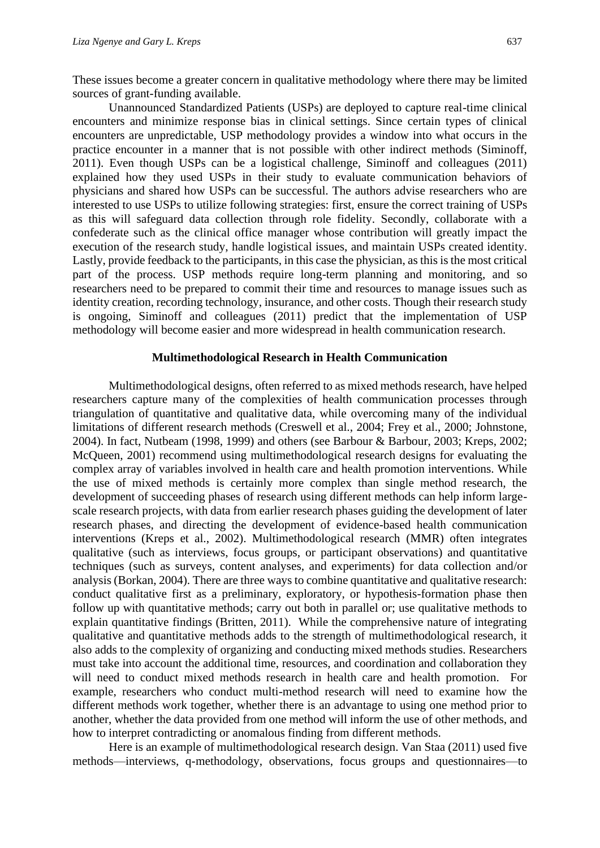These issues become a greater concern in qualitative methodology where there may be limited sources of grant-funding available.

Unannounced Standardized Patients (USPs) are deployed to capture real-time clinical encounters and minimize response bias in clinical settings. Since certain types of clinical encounters are unpredictable, USP methodology provides a window into what occurs in the practice encounter in a manner that is not possible with other indirect methods (Siminoff, 2011). Even though USPs can be a logistical challenge, Siminoff and colleagues (2011) explained how they used USPs in their study to evaluate communication behaviors of physicians and shared how USPs can be successful. The authors advise researchers who are interested to use USPs to utilize following strategies: first, ensure the correct training of USPs as this will safeguard data collection through role fidelity. Secondly, collaborate with a confederate such as the clinical office manager whose contribution will greatly impact the execution of the research study, handle logistical issues, and maintain USPs created identity. Lastly, provide feedback to the participants, in this case the physician, as this is the most critical part of the process. USP methods require long-term planning and monitoring, and so researchers need to be prepared to commit their time and resources to manage issues such as identity creation, recording technology, insurance, and other costs. Though their research study is ongoing, Siminoff and colleagues (2011) predict that the implementation of USP methodology will become easier and more widespread in health communication research.

### **Multimethodological Research in Health Communication**

Multimethodological designs, often referred to as mixed methods research, have helped researchers capture many of the complexities of health communication processes through triangulation of quantitative and qualitative data, while overcoming many of the individual limitations of different research methods (Creswell et al., 2004; Frey et al., 2000; Johnstone, 2004). In fact, Nutbeam (1998, 1999) and others (see Barbour & Barbour, 2003; Kreps, 2002; McQueen, 2001) recommend using multimethodological research designs for evaluating the complex array of variables involved in health care and health promotion interventions. While the use of mixed methods is certainly more complex than single method research, the development of succeeding phases of research using different methods can help inform largescale research projects, with data from earlier research phases guiding the development of later research phases, and directing the development of evidence-based health communication interventions (Kreps et al., 2002). Multimethodological research (MMR) often integrates qualitative (such as interviews, focus groups, or participant observations) and quantitative techniques (such as surveys, content analyses, and experiments) for data collection and/or analysis (Borkan, 2004). There are three ways to combine quantitative and qualitative research: conduct qualitative first as a preliminary, exploratory, or hypothesis-formation phase then follow up with quantitative methods; carry out both in parallel or; use qualitative methods to explain quantitative findings (Britten, 2011). While the comprehensive nature of integrating qualitative and quantitative methods adds to the strength of multimethodological research, it also adds to the complexity of organizing and conducting mixed methods studies. Researchers must take into account the additional time, resources, and coordination and collaboration they will need to conduct mixed methods research in health care and health promotion. For example, researchers who conduct multi-method research will need to examine how the different methods work together, whether there is an advantage to using one method prior to another, whether the data provided from one method will inform the use of other methods, and how to interpret contradicting or anomalous finding from different methods.

Here is an example of multimethodological research design. Van Staa (2011) used five methods—interviews, q-methodology, observations, focus groups and questionnaires—to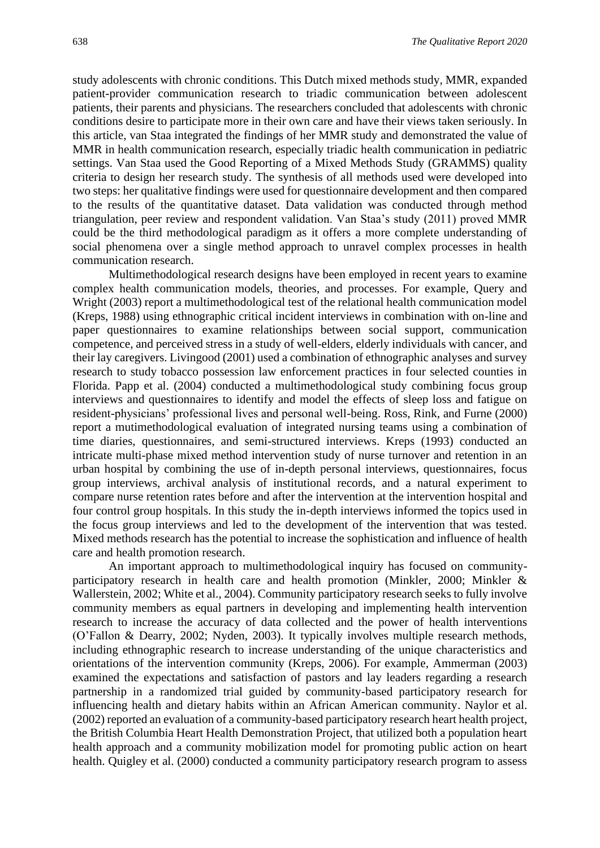study adolescents with chronic conditions. This Dutch mixed methods study, MMR, expanded patient-provider communication research to triadic communication between adolescent patients, their parents and physicians. The researchers concluded that adolescents with chronic conditions desire to participate more in their own care and have their views taken seriously. In this article, van Staa integrated the findings of her MMR study and demonstrated the value of MMR in health communication research, especially triadic health communication in pediatric settings. Van Staa used the Good Reporting of a Mixed Methods Study (GRAMMS) quality criteria to design her research study. The synthesis of all methods used were developed into two steps: her qualitative findings were used for questionnaire development and then compared to the results of the quantitative dataset. Data validation was conducted through method triangulation, peer review and respondent validation. Van Staa's study (2011) proved MMR could be the third methodological paradigm as it offers a more complete understanding of social phenomena over a single method approach to unravel complex processes in health communication research.

Multimethodological research designs have been employed in recent years to examine complex health communication models, theories, and processes. For example, Query and Wright (2003) report a multimethodological test of the relational health communication model (Kreps, 1988) using ethnographic critical incident interviews in combination with on-line and paper questionnaires to examine relationships between social support, communication competence, and perceived stress in a study of well-elders, elderly individuals with cancer, and their lay caregivers. Livingood (2001) used a combination of ethnographic analyses and survey research to study tobacco possession law enforcement practices in four selected counties in Florida. Papp et al. (2004) conducted a multimethodological study combining focus group interviews and questionnaires to identify and model the effects of sleep loss and fatigue on resident-physicians' professional lives and personal well-being. Ross, Rink, and Furne (2000) report a mutimethodological evaluation of integrated nursing teams using a combination of time diaries, questionnaires, and semi-structured interviews. Kreps (1993) conducted an intricate multi-phase mixed method intervention study of nurse turnover and retention in an urban hospital by combining the use of in-depth personal interviews, questionnaires, focus group interviews, archival analysis of institutional records, and a natural experiment to compare nurse retention rates before and after the intervention at the intervention hospital and four control group hospitals. In this study the in-depth interviews informed the topics used in the focus group interviews and led to the development of the intervention that was tested. Mixed methods research has the potential to increase the sophistication and influence of health care and health promotion research.

An important approach to multimethodological inquiry has focused on communityparticipatory research in health care and health promotion (Minkler, 2000; Minkler & Wallerstein, 2002; White et al., 2004). Community participatory research seeks to fully involve community members as equal partners in developing and implementing health intervention research to increase the accuracy of data collected and the power of health interventions (O'Fallon & Dearry, 2002; Nyden, 2003). It typically involves multiple research methods, including ethnographic research to increase understanding of the unique characteristics and orientations of the intervention community (Kreps, 2006). For example, Ammerman (2003) examined the expectations and satisfaction of pastors and lay leaders regarding a research partnership in a randomized trial guided by community-based participatory research for influencing health and dietary habits within an African American community. Naylor et al. (2002) reported an evaluation of a community-based participatory research heart health project, the British Columbia Heart Health Demonstration Project, that utilized both a population heart health approach and a community mobilization model for promoting public action on heart health. Quigley et al. (2000) conducted a community participatory research program to assess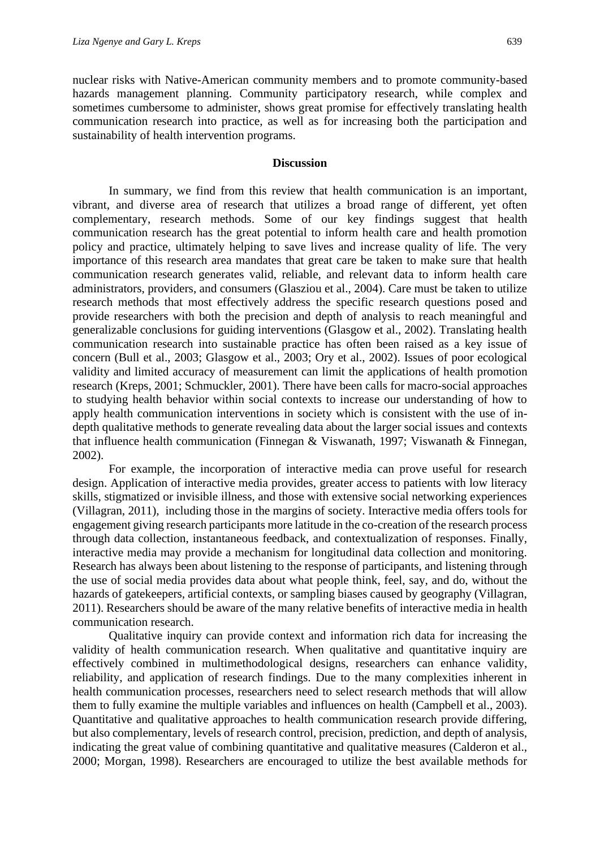nuclear risks with Native-American community members and to promote community-based hazards management planning. Community participatory research, while complex and sometimes cumbersome to administer, shows great promise for effectively translating health communication research into practice, as well as for increasing both the participation and sustainability of health intervention programs.

#### **Discussion**

In summary, we find from this review that health communication is an important, vibrant, and diverse area of research that utilizes a broad range of different, yet often complementary, research methods. Some of our key findings suggest that health communication research has the great potential to inform health care and health promotion policy and practice, ultimately helping to save lives and increase quality of life. The very importance of this research area mandates that great care be taken to make sure that health communication research generates valid, reliable, and relevant data to inform health care administrators, providers, and consumers (Glasziou et al., 2004). Care must be taken to utilize research methods that most effectively address the specific research questions posed and provide researchers with both the precision and depth of analysis to reach meaningful and generalizable conclusions for guiding interventions (Glasgow et al., 2002). Translating health communication research into sustainable practice has often been raised as a key issue of concern (Bull et al., 2003; Glasgow et al., 2003; Ory et al., 2002). Issues of poor ecological validity and limited accuracy of measurement can limit the applications of health promotion research (Kreps, 2001; Schmuckler, 2001). There have been calls for macro-social approaches to studying health behavior within social contexts to increase our understanding of how to apply health communication interventions in society which is consistent with the use of indepth qualitative methods to generate revealing data about the larger social issues and contexts that influence health communication (Finnegan & Viswanath, 1997; Viswanath & Finnegan, 2002).

For example, the incorporation of interactive media can prove useful for research design. Application of interactive media provides, greater access to patients with low literacy skills, stigmatized or invisible illness, and those with extensive social networking experiences (Villagran, 2011), including those in the margins of society. Interactive media offers tools for engagement giving research participants more latitude in the co-creation of the research process through data collection, instantaneous feedback, and contextualization of responses. Finally, interactive media may provide a mechanism for longitudinal data collection and monitoring. Research has always been about listening to the response of participants, and listening through the use of social media provides data about what people think, feel, say, and do, without the hazards of gatekeepers, artificial contexts, or sampling biases caused by geography (Villagran, 2011). Researchers should be aware of the many relative benefits of interactive media in health communication research.

Qualitative inquiry can provide context and information rich data for increasing the validity of health communication research. When qualitative and quantitative inquiry are effectively combined in multimethodological designs, researchers can enhance validity, reliability, and application of research findings. Due to the many complexities inherent in health communication processes, researchers need to select research methods that will allow them to fully examine the multiple variables and influences on health (Campbell et al., 2003). Quantitative and qualitative approaches to health communication research provide differing, but also complementary, levels of research control, precision, prediction, and depth of analysis, indicating the great value of combining quantitative and qualitative measures (Calderon et al., 2000; Morgan, 1998). Researchers are encouraged to utilize the best available methods for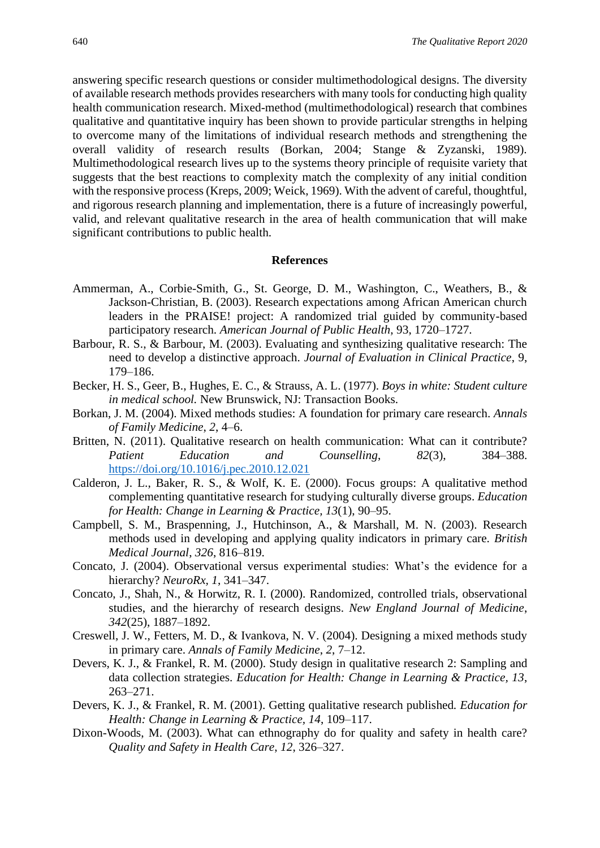answering specific research questions or consider multimethodological designs. The diversity of available research methods provides researchers with many tools for conducting high quality health communication research. Mixed-method (multimethodological) research that combines qualitative and quantitative inquiry has been shown to provide particular strengths in helping to overcome many of the limitations of individual research methods and strengthening the overall validity of research results (Borkan, 2004; Stange & Zyzanski, 1989). Multimethodological research lives up to the systems theory principle of requisite variety that suggests that the best reactions to complexity match the complexity of any initial condition with the responsive process (Kreps, 2009; Weick, 1969). With the advent of careful, thoughtful, and rigorous research planning and implementation, there is a future of increasingly powerful, valid, and relevant qualitative research in the area of health communication that will make significant contributions to public health.

#### **References**

- Ammerman, A., Corbie-Smith, G., St. George, D. M., Washington, C., Weathers, B., & Jackson-Christian, B. (2003). Research expectations among African American church leaders in the PRAISE! project: A randomized trial guided by community-based participatory research. *American Journal of Public Health*, 93, 1720–1727.
- Barbour, R. S., & Barbour, M. (2003). Evaluating and synthesizing qualitative research: The need to develop a distinctive approach. *Journal of Evaluation in Clinical Practice*, 9, 179–186.
- Becker, H. S., Geer, B., Hughes, E. C., & Strauss, A. L. (1977). *Boys in white: Student culture in medical school.* New Brunswick, NJ: Transaction Books.
- Borkan, J. M. (2004). Mixed methods studies: A foundation for primary care research. *Annals of Family Medicine*, *2*, 4–6.
- Britten, N. (2011). Qualitative research on health communication: What can it contribute? *Patient Education and Counselling*, *82*(3), 384–388. <https://doi.org/10.1016/j.pec.2010.12.021>
- Calderon, J. L., Baker, R. S., & Wolf, K. E. (2000). Focus groups: A qualitative method complementing quantitative research for studying culturally diverse groups. *Education for Health: Change in Learning & Practice, 13*(1), 90–95.
- Campbell, S. M., Braspenning, J., Hutchinson, A., & Marshall, M. N. (2003). Research methods used in developing and applying quality indicators in primary care. *British Medical Journal*, *326*, 816–819.
- Concato, J. (2004). Observational versus experimental studies: What's the evidence for a hierarchy? *NeuroRx, 1*, 341–347.
- Concato, J., Shah, N., & Horwitz, R. I. (2000). Randomized, controlled trials, observational studies, and the hierarchy of research designs. *New England Journal of Medicine*, *342*(25), 1887–1892.
- Creswell, J. W., Fetters, M. D., & Ivankova, N. V. (2004). Designing a mixed methods study in primary care. *Annals of Family Medicine*, *2*, 7–12.
- Devers, K. J., & Frankel, R. M. (2000). Study design in qualitative research 2: Sampling and data collection strategies*. Education for Health: Change in Learning & Practice, 13*, 263–271.
- Devers, K. J., & Frankel, R. M. (2001). Getting qualitative research published*. Education for Health: Change in Learning & Practice, 14*, 109–117.
- Dixon-Woods, M. (2003). What can ethnography do for quality and safety in health care? *Quality and Safety in Health Care*, *12*, 326–327.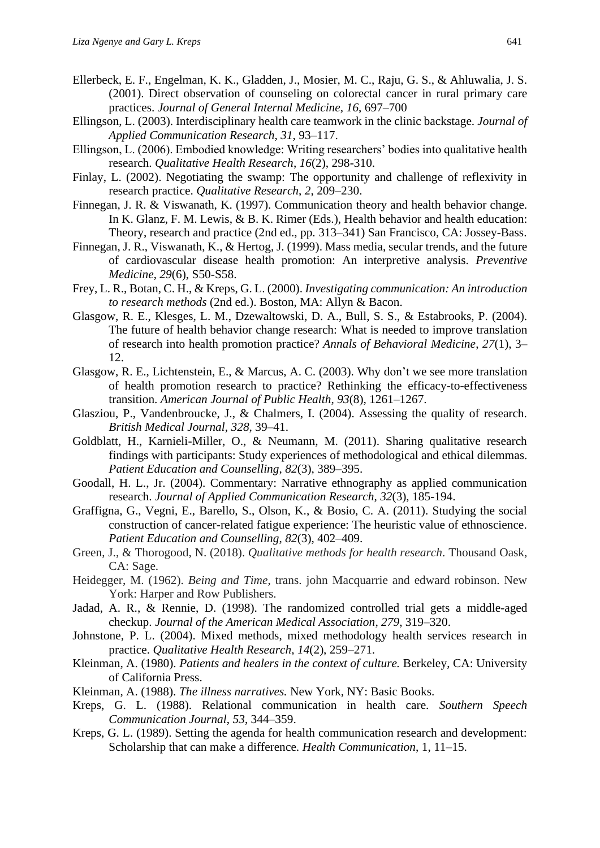- Ellerbeck, E. F., Engelman, K. K., Gladden, J., Mosier, M. C., Raju, G. S., & Ahluwalia, J. S. (2001). Direct observation of counseling on colorectal cancer in rural primary care practices. *Journal of General Internal Medicine, 16*, 697–700
- Ellingson, L. (2003). Interdisciplinary health care teamwork in the clinic backstage. *Journal of Applied Communication Research*, *31*, 93–117.
- Ellingson, L. (2006). Embodied knowledge: Writing researchers' bodies into qualitative health research. *Qualitative Health Research*, *16*(2), 298-310.
- Finlay, L. (2002). Negotiating the swamp: The opportunity and challenge of reflexivity in research practice. *Qualitative Research*, *2*, 209–230.
- Finnegan, J. R. & Viswanath, K. (1997). Communication theory and health behavior change. In K. Glanz, F. M. Lewis, & B. K. Rimer (Eds.), Health behavior and health education: Theory, research and practice (2nd ed., pp. 313–341) San Francisco, CA: Jossey-Bass.
- Finnegan, J. R., Viswanath, K., & Hertog, J. (1999). Mass media, secular trends, and the future of cardiovascular disease health promotion: An interpretive analysis. *Preventive Medicine*, *29*(6), S50-S58.
- Frey, L. R., Botan, C. H., & Kreps, G. L. (2000). *Investigating communication: An introduction to research methods* (2nd ed.). Boston, MA: Allyn & Bacon.
- Glasgow, R. E., Klesges, L. M., Dzewaltowski, D. A., Bull, S. S., & Estabrooks, P. (2004). The future of health behavior change research: What is needed to improve translation of research into health promotion practice? *Annals of Behavioral Medicine*, *27*(1), 3– 12.
- Glasgow, R. E., Lichtenstein, E., & Marcus, A. C. (2003). Why don't we see more translation of health promotion research to practice? Rethinking the efficacy-to-effectiveness transition. *American Journal of Public Health*, *93*(8), 1261–1267.
- Glasziou, P., Vandenbroucke, J., & Chalmers, I. (2004). Assessing the quality of research. *British Medical Journal*, *328*, 39–41.
- Goldblatt, H., Karnieli-Miller, O., & Neumann, M. (2011). Sharing qualitative research findings with participants: Study experiences of methodological and ethical dilemmas. *Patient Education and Counselling*, *82*(3), 389–395.
- Goodall, H. L., Jr. (2004). Commentary: Narrative ethnography as applied communication research. *Journal of Applied Communication Research*, *32*(3), 185-194.
- Graffigna, G., Vegni, E., Barello, S., Olson, K., & Bosio, C. A. (2011). Studying the social construction of cancer-related fatigue experience: The heuristic value of ethnoscience. *Patient Education and Counselling*, *82*(3), 402–409.
- Green, J., & Thorogood, N. (2018). *Qualitative methods for health research*. Thousand Oask, CA: Sage.
- Heidegger, M. (1962). *Being and Time*, trans. john Macquarrie and edward robinson. New York: Harper and Row Publishers.
- Jadad, A. R., & Rennie, D. (1998). The randomized controlled trial gets a middle-aged checkup. *Journal of the American Medical Association*, *279*, 319–320.
- Johnstone, P. L. (2004). Mixed methods, mixed methodology health services research in practice. *Qualitative Health Research*, *14*(2), 259–271.
- Kleinman, A. (1980). *Patients and healers in the context of culture.* Berkeley, CA: University of California Press.
- Kleinman, A. (1988). *The illness narratives.* New York, NY: Basic Books.
- Kreps, G. L. (1988). Relational communication in health care. *Southern Speech Communication Journal*, *53*, 344–359.
- Kreps, G. L. (1989). Setting the agenda for health communication research and development: Scholarship that can make a difference. *Health Communication*, 1, 11–15.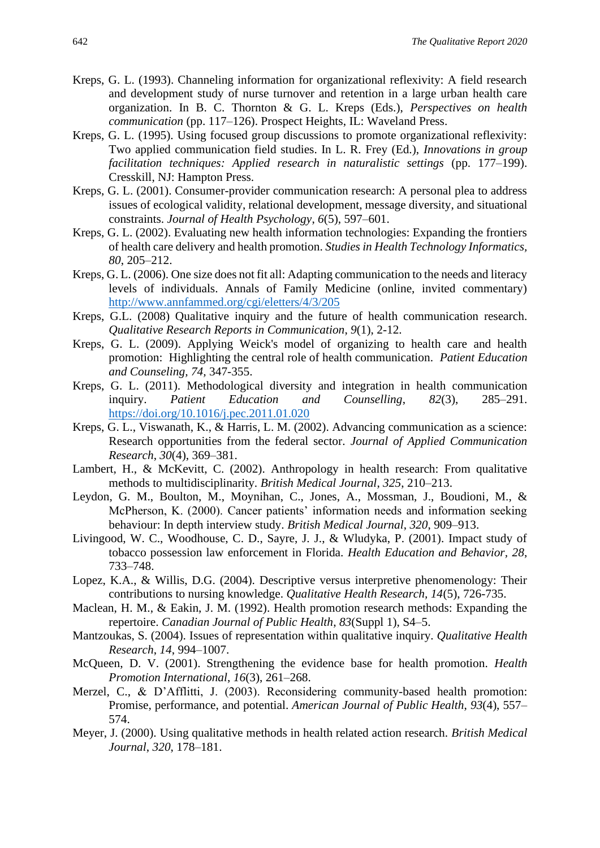- Kreps, G. L. (1993). Channeling information for organizational reflexivity: A field research and development study of nurse turnover and retention in a large urban health care organization. In B. C. Thornton & G. L. Kreps (Eds.), *Perspectives on health communication* (pp. 117–126). Prospect Heights, IL: Waveland Press.
- Kreps, G. L. (1995). Using focused group discussions to promote organizational reflexivity: Two applied communication field studies. In L. R. Frey (Ed.), *Innovations in group facilitation techniques: Applied research in naturalistic settings* (pp. 177–199). Cresskill, NJ: Hampton Press.
- Kreps, G. L. (2001). Consumer-provider communication research: A personal plea to address issues of ecological validity, relational development, message diversity, and situational constraints. *Journal of Health Psychology*, *6*(5), 597–601.
- Kreps, G. L. (2002). Evaluating new health information technologies: Expanding the frontiers of health care delivery and health promotion. *Studies in Health Technology Informatics, 80*, 205–212.
- Kreps, G. L. (2006). One size does not fit all: Adapting communication to the needs and literacy levels of individuals. Annals of Family Medicine (online, invited commentary) <http://www.annfammed.org/cgi/eletters/4/3/205>
- Kreps, G.L. (2008) Qualitative inquiry and the future of health communication research. *Qualitative Research Reports in Communication*, *9*(1), 2-12.
- Kreps, G. L. (2009). Applying Weick's model of organizing to health care and health promotion: Highlighting the central role of health communication. *Patient Education and Counseling, 74,* 347-355.
- Kreps, G. L. (2011). Methodological diversity and integration in health communication inquiry. *Patient Education and Counselling*, *82*(3), 285–291. <https://doi.org/10.1016/j.pec.2011.01.020>
- Kreps, G. L., Viswanath, K., & Harris, L. M. (2002). Advancing communication as a science: Research opportunities from the federal sector. *Journal of Applied Communication Research*, *30*(4), 369–381.
- Lambert, H., & McKevitt, C. (2002). Anthropology in health research: From qualitative methods to multidisciplinarity. *British Medical Journal*, *325*, 210–213.
- Leydon, G. M., Boulton, M., Moynihan, C., Jones, A., Mossman, J., Boudioni, M., & McPherson, K. (2000). Cancer patients' information needs and information seeking behaviour: In depth interview study. *British Medical Journal*, *320*, 909–913.
- Livingood, W. C., Woodhouse, C. D., Sayre, J. J., & Wludyka, P. (2001). Impact study of tobacco possession law enforcement in Florida. *Health Education and Behavior, 28*, 733–748.
- Lopez, K.A., & Willis, D.G. (2004). Descriptive versus interpretive phenomenology: Their contributions to nursing knowledge. *Qualitative Health Research, 14*(5), 726-735.
- Maclean, H. M., & Eakin, J. M. (1992). Health promotion research methods: Expanding the repertoire. *Canadian Journal of Public Health*, *83*(Suppl 1), S4–5.
- Mantzoukas, S. (2004). Issues of representation within qualitative inquiry. *Qualitative Health Research*, *14*, 994–1007.
- McQueen, D. V. (2001). Strengthening the evidence base for health promotion. *Health Promotion International*, *16*(3), 261–268.
- Merzel, C., & D'Afflitti, J. (2003). Reconsidering community-based health promotion: Promise, performance, and potential. *American Journal of Public Health*, *93*(4), 557– 574.
- Meyer, J. (2000). Using qualitative methods in health related action research. *British Medical Journal*, *320*, 178–181.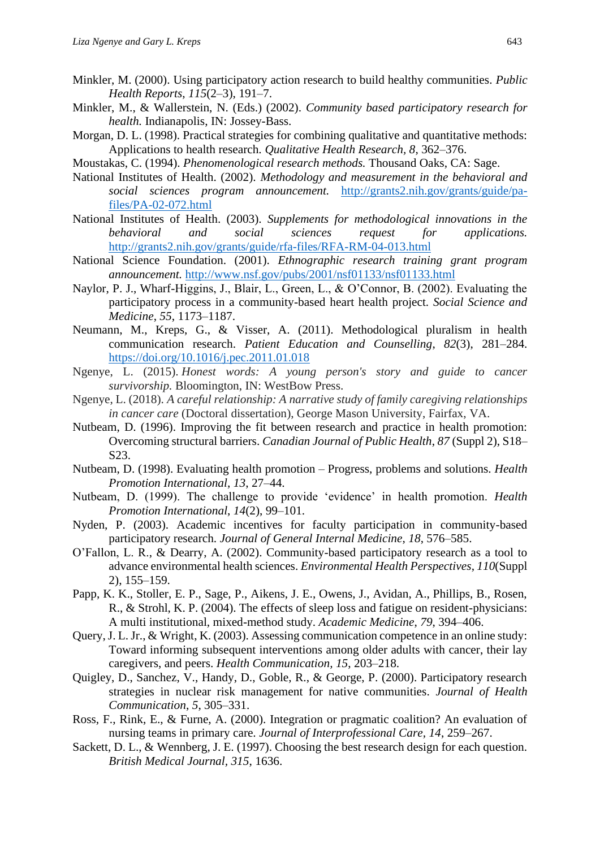- Minkler, M. (2000). Using participatory action research to build healthy communities. *Public Health Reports*, *115*(2–3), 191–7.
- Minkler, M., & Wallerstein, N. (Eds.) (2002). *Community based participatory research for health.* Indianapolis, IN: Jossey-Bass.
- Morgan, D. L. (1998). Practical strategies for combining qualitative and quantitative methods: Applications to health research. *Qualitative Health Research, 8*, 362–376.
- Moustakas, C. (1994). *Phenomenological research methods.* Thousand Oaks, CA: Sage.
- National Institutes of Health. (2002). *Methodology and measurement in the behavioral and social sciences program announcement.* [http://grants2.nih.gov/grants/guide/pa](http://grants2.nih.gov/grants/guide/pa-files/PA-02-072.html)[files/PA-02-072.html](http://grants2.nih.gov/grants/guide/pa-files/PA-02-072.html)
- National Institutes of Health. (2003). *Supplements for methodological innovations in the behavioral and social sciences request for applications.*  <http://grants2.nih.gov/grants/guide/rfa-files/RFA-RM-04-013.html>
- National Science Foundation. (2001). *Ethnographic research training grant program announcement.* <http://www.nsf.gov/pubs/2001/nsf01133/nsf01133.html>
- Naylor, P. J., Wharf-Higgins, J., Blair, L., Green, L., & O'Connor, B. (2002). Evaluating the participatory process in a community-based heart health project. *Social Science and Medicine*, *55*, 1173–1187.
- Neumann, M., Kreps, G., & Visser, A. (2011). Methodological pluralism in health communication research. *Patient Education and Counselling*, *82*(3), 281–284. <https://doi.org/10.1016/j.pec.2011.01.018>
- Ngenye, L. (2015). *Honest words: A young person's story and guide to cancer survivorship.* Bloomington, IN: WestBow Press.
- Ngenye, L. (2018). *A careful relationship: A narrative study of family caregiving relationships in cancer care* (Doctoral dissertation), George Mason University, Fairfax, VA.
- Nutbeam, D. (1996). Improving the fit between research and practice in health promotion: Overcoming structural barriers. *Canadian Journal of Public Health*, *87* (Suppl 2), S18– S23.
- Nutbeam, D. (1998). Evaluating health promotion Progress, problems and solutions. *Health Promotion International*, *13*, 27–44.
- Nutbeam, D. (1999). The challenge to provide 'evidence' in health promotion. *Health Promotion International*, *14*(2), 99–101.
- Nyden, P. (2003). Academic incentives for faculty participation in community-based participatory research. *Journal of General Internal Medicine*, *18*, 576–585.
- O'Fallon, L. R., & Dearry, A. (2002). Community-based participatory research as a tool to advance environmental health sciences. *Environmental Health Perspectives*, *110*(Suppl 2), 155–159.
- Papp, K. K., Stoller, E. P., Sage, P., Aikens, J. E., Owens, J., Avidan, A., Phillips, B., Rosen, R., & Strohl, K. P. (2004). The effects of sleep loss and fatigue on resident-physicians: A multi institutional, mixed-method study. *Academic Medicine*, *79*, 394–406.
- Query, J. L. Jr., & Wright, K. (2003). Assessing communication competence in an online study: Toward informing subsequent interventions among older adults with cancer, their lay caregivers, and peers. *Health Communication, 15*, 203–218.
- Quigley, D., Sanchez, V., Handy, D., Goble, R., & George, P. (2000). Participatory research strategies in nuclear risk management for native communities. *Journal of Health Communication*, *5*, 305–331.
- Ross, F., Rink, E., & Furne, A. (2000). Integration or pragmatic coalition? An evaluation of nursing teams in primary care. *Journal of Interprofessional Care, 14*, 259–267.
- Sackett, D. L., & Wennberg, J. E. (1997). Choosing the best research design for each question. *British Medical Journal, 315*, 1636.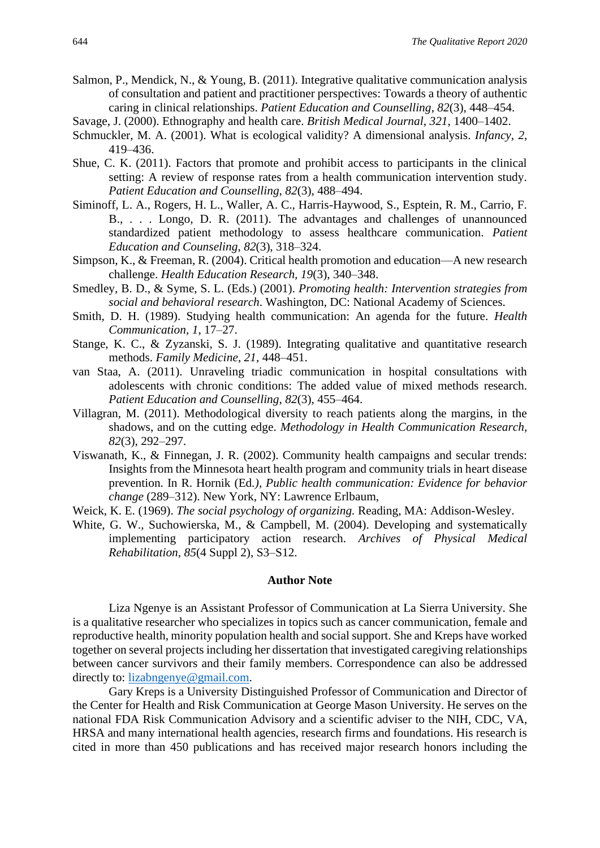- Salmon, P., Mendick, N., & Young, B. (2011). Integrative qualitative communication analysis of consultation and patient and practitioner perspectives: Towards a theory of authentic caring in clinical relationships. *Patient Education and Counselling*, *82*(3), 448–454.
- Savage, J. (2000). Ethnography and health care. *British Medical Journal*, *321*, 1400–1402.
- Schmuckler, M. A. (2001). What is ecological validity? A dimensional analysis. *Infancy*, *2*, 419–436.
- Shue, C. K. (2011). Factors that promote and prohibit access to participants in the clinical setting: A review of response rates from a health communication intervention study. *Patient Education and Counselling*, *82*(3), 488–494.
- Siminoff, L. A., Rogers, H. L., Waller, A. C., Harris-Haywood, S., Esptein, R. M., Carrio, F. B., . . . Longo, D. R. (2011). The advantages and challenges of unannounced standardized patient methodology to assess healthcare communication. *Patient Education and Counseling*, *82*(3), 318–324.
- Simpson, K., & Freeman, R. (2004). Critical health promotion and education—A new research challenge. *Health Education Research, 19*(3), 340–348.
- Smedley, B. D., & Syme, S. L. (Eds.) (2001). *Promoting health: Intervention strategies from social and behavioral research*. Washington, DC: National Academy of Sciences.
- Smith, D. H. (1989). Studying health communication: An agenda for the future. *Health Communication, 1*, 17–27.
- Stange, K. C., & Zyzanski, S. J. (1989). Integrating qualitative and quantitative research methods. *Family Medicine*, *21*, 448–451.
- van Staa, A. (2011). Unraveling triadic communication in hospital consultations with adolescents with chronic conditions: The added value of mixed methods research. *Patient Education and Counselling*, *82*(3), 455–464.
- Villagran, M. (2011). Methodological diversity to reach patients along the margins, in the shadows, and on the cutting edge. *Methodology in Health Communication Research*, *82*(3), 292–297.
- Viswanath, K., & Finnegan, J. R. (2002). Community health campaigns and secular trends: Insights from the Minnesota heart health program and community trials in heart disease prevention. In R. Hornik (Ed*.), Public health communication: Evidence for behavior change* (289–312). New York, NY: Lawrence Erlbaum,
- Weick, K. E. (1969). *The social psychology of organizing.* Reading, MA: Addison-Wesley.
- White, G. W., Suchowierska, M., & Campbell, M. (2004). Developing and systematically implementing participatory action research. *Archives of Physical Medical Rehabilitation, 85*(4 Suppl 2), S3–S12.

#### **Author Note**

Liza Ngenye is an Assistant Professor of Communication at La Sierra University. She is a qualitative researcher who specializes in topics such as cancer communication, female and reproductive health, minority population health and social support. She and Kreps have worked together on several projects including her dissertation that investigated caregiving relationships between cancer survivors and their family members. Correspondence can also be addressed directly to: [lizabngenye@gmail.com.](mailto:lizabngenye@gmail.com)

Gary Kreps is a University Distinguished Professor of Communication and Director of the Center for Health and Risk Communication at George Mason University. He serves on the national FDA Risk Communication Advisory and a scientific adviser to the NIH, CDC, VA, HRSA and many international health agencies, research firms and foundations. His research is cited in more than 450 publications and has received major research honors including the